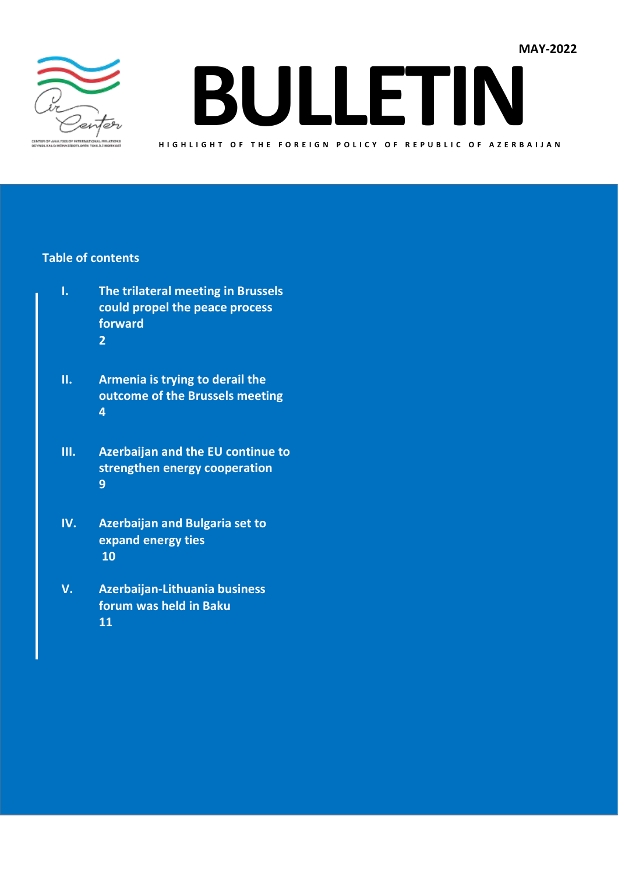

**BULLETIN**

**H I G H L I G H T O F T H E F O R E I G N P O L I C Y O F R E P U B L I C O F A Z E R B A I J A N**

#### **Table of contents**

- **I. The trilateral meeting in Brussels could propel the peace process forward 2**
- **II. Armenia is trying to derail the outcome of the Brussels meeting 4**
- **III. Azerbaijan and the EU continue to strengthen energy cooperation 9**
- **IV. Azerbaijan and Bulgaria set to expand energy ties 10**
- **V. Azerbaijan-Lithuania business forum was held in Baku 11**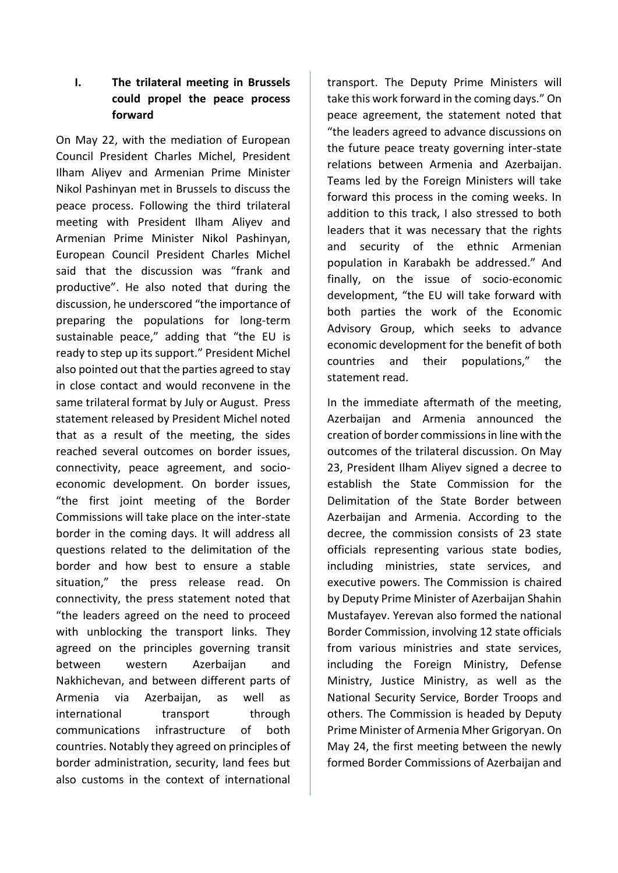# **I. The trilateral meeting in Brussels could propel the peace process forward**

On May 22, with the mediation of European Council President Charles Michel, President Ilham Aliyev and Armenian Prime Minister Nikol Pashinyan met in Brussels to discuss the peace process. Following the third trilateral meeting with President Ilham Aliyev and Armenian Prime Minister Nikol Pashinyan, European Council President Charles Michel said that the discussion was "frank and productive". He also noted that during the discussion, he underscored "the importance of preparing the populations for long-term sustainable peace," adding that "the EU is ready to step up its support." President Michel also pointed out that the parties agreed to stay in close contact and would reconvene in the same trilateral format by July or August. Press statement released by President Michel noted that as a result of the meeting, the sides reached several outcomes on border issues, connectivity, peace agreement, and socioeconomic development. On border issues, "the first joint meeting of the Border Commissions will take place on the inter-state border in the coming days. It will address all questions related to the delimitation of the border and how best to ensure a stable situation," the press release read. On connectivity, the press statement noted that "the leaders agreed on the need to proceed with unblocking the transport links. They agreed on the principles governing transit between western Azerbaijan and Nakhichevan, and between different parts of Armenia via Azerbaijan, as well as international transport through communications infrastructure of both countries. Notably they agreed on principles of border administration, security, land fees but also customs in the context of international transport. The Deputy Prime Ministers will take this work forward in the coming days." On peace agreement, the statement noted that "the leaders agreed to advance discussions on the future peace treaty governing inter-state relations between Armenia and Azerbaijan. Teams led by the Foreign Ministers will take forward this process in the coming weeks. In addition to this track, I also stressed to both leaders that it was necessary that the rights and security of the ethnic Armenian population in Karabakh be addressed." And finally, on the issue of socio-economic development, "the EU will take forward with both parties the work of the Economic Advisory Group, which seeks to advance economic development for the benefit of both countries and their populations," the statement read.

In the immediate aftermath of the meeting, Azerbaijan and Armenia announced the creation of border commissions in line with the outcomes of the trilateral discussion. On May 23, President Ilham Aliyev signed a decree to establish the State Commission for the Delimitation of the State Border between Azerbaijan and Armenia. According to the decree, the commission consists of 23 state officials representing various state bodies, including ministries, state services, and executive powers. The Commission is chaired by Deputy Prime Minister of Azerbaijan Shahin Mustafayev. Yerevan also formed the national Border Commission, involving 12 state officials from various ministries and state services, including the Foreign Ministry, Defense Ministry, Justice Ministry, as well as the National Security Service, Border Troops and others. The Commission is headed by Deputy Prime Minister of Armenia Mher Grigoryan. On May 24, the first meeting between the newly formed Border Commissions of Azerbaijan and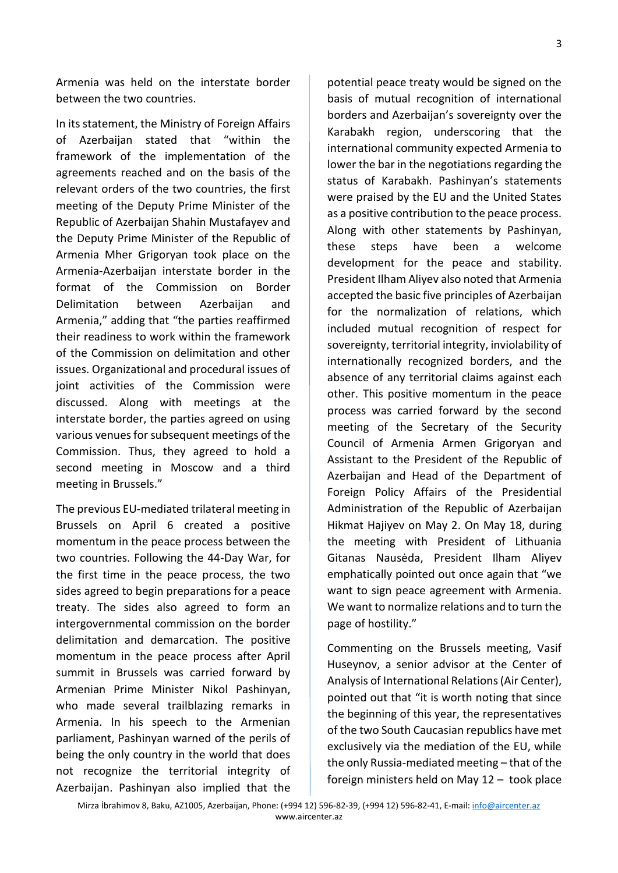Armenia was held on the interstate border between the two countries.

In its statement, the Ministry of Foreign Affairs of Azerbaijan stated that "within the framework of the implementation of the agreements reached and on the basis of the relevant orders of the two countries, the first meeting of the Deputy Prime Minister of the Republic of Azerbaijan Shahin Mustafayev and the Deputy Prime Minister of the Republic of Armenia Mher Grigoryan took place on the Armenia-Azerbaijan interstate border in the format of the Commission on Border Delimitation between Azerbaijan and Armenia," adding that "the parties reaffirmed their readiness to work within the framework of the Commission on delimitation and other issues. Organizational and procedural issues of joint activities of the Commission were discussed. Along with meetings at the interstate border, the parties agreed on using various venues for subsequent meetings of the Commission. Thus, they agreed to hold a second meeting in Moscow and a third meeting in Brussels."

The previous EU-mediated trilateral meeting in Brussels on April 6 created a positive momentum in the peace process between the two countries. Following the 44-Day War, for the first time in the peace process, the two sides agreed to begin preparations for a peace treaty. The sides also agreed to form an intergovernmental commission on the border delimitation and demarcation. The positive momentum in the peace process after April summit in Brussels was carried forward by Armenian Prime Minister Nikol Pashinyan, who made several trailblazing remarks in Armenia. In his speech to the Armenian parliament, Pashinyan warned of the perils of being the only country in the world that does not recognize the territorial integrity of Azerbaijan. Pashinyan also implied that the potential peace treaty would be signed on the basis of mutual recognition of international borders and Azerbaijan's sovereignty over the Karabakh region, underscoring that the international community expected Armenia to lower the bar in the negotiations regarding the status of Karabakh. Pashinyan's statements were praised by the EU and the United States as a positive contribution to the peace process. Along with other statements by Pashinyan, these steps have been a welcome development for the peace and stability. President Ilham Aliyev also noted that Armenia accepted the basic five principles of Azerbaijan for the normalization of relations, which included mutual recognition of respect for sovereignty, territorial integrity, inviolability of internationally recognized borders, and the absence of any territorial claims against each other. This positive momentum in the peace process was carried forward by the second meeting of the Secretary of the Security Council of Armenia Armen Grigoryan and Assistant to the President of the Republic of Azerbaijan and Head of the Department of Foreign Policy Affairs of the Presidential Administration of the Republic of Azerbaijan Hikmat Hajiyev on May 2. On May 18, during the meeting with President of Lithuania Gitanas Nausėda, President Ilham Aliyev emphatically pointed out once again that "we want to sign peace agreement with Armenia. We want to normalize relations and to turn the page of hostility."

Commenting on the Brussels meeting, Vasif Huseynov, a senior advisor at the Center of Analysis of International Relations (Air Center), pointed out that "it is worth noting that since the beginning of this year, the representatives of the two South Caucasian republics have met exclusively via the mediation of the EU, while the only Russia-mediated meeting – that of the foreign ministers held on May 12 – took place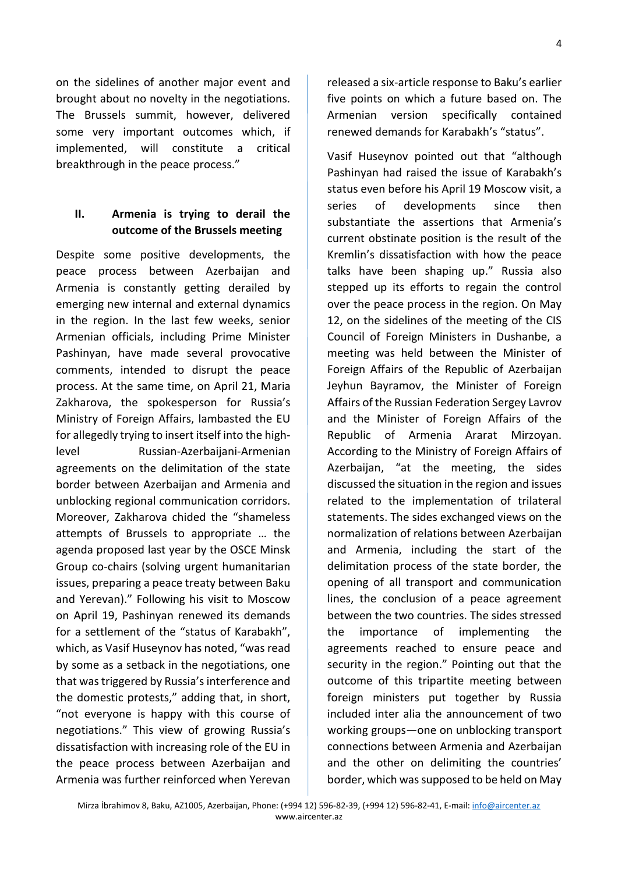$\Delta$ 

on the sidelines of another major event and brought about no novelty in the negotiations. The Brussels summit, however, delivered some very important outcomes which, if implemented, will constitute a critical breakthrough in the peace process."

## **II. Armenia is trying to derail the outcome of the Brussels meeting**

Despite some positive developments, the peace process between Azerbaijan and Armenia is constantly getting derailed by emerging new internal and external dynamics in the region. In the last few weeks, senior Armenian officials, including Prime Minister Pashinyan, have made several provocative comments, intended to disrupt the peace process. At the same time, on April 21, Maria Zakharova, the spokesperson for Russia's Ministry of Foreign Affairs, lambasted the EU for allegedly trying to insert itself into the highlevel Russian-Azerbaijani-Armenian agreements on the delimitation of the state border between Azerbaijan and Armenia and unblocking regional communication corridors. Moreover, Zakharova chided the "shameless attempts of Brussels to appropriate … the agenda proposed last year by the OSCE Minsk Group co-chairs (solving urgent humanitarian issues, preparing a peace treaty between Baku and Yerevan)." Following his visit to Moscow on April 19, Pashinyan renewed its demands for a settlement of the "status of Karabakh", which, as Vasif Huseynov has noted, "was read by some as a setback in the negotiations, one that was triggered by Russia's interference and the domestic protests," adding that, in short, "not everyone is happy with this course of negotiations." This view of growing Russia's dissatisfaction with increasing role of the EU in the peace process between Azerbaijan and Armenia was further reinforced when Yerevan

released a six-article response to Baku's earlier five points on which a future based on. The Armenian version specifically contained renewed demands for Karabakh's "status".

Vasif Huseynov pointed out that "although Pashinyan had raised the issue of Karabakh's status even before his April 19 Moscow visit, a series of developments since then substantiate the assertions that Armenia's current obstinate position is the result of the Kremlin's dissatisfaction with how the peace talks have been shaping up." Russia also stepped up its efforts to regain the control over the peace process in the region. On May 12, on the sidelines of the meeting of the CIS Council of Foreign Ministers in Dushanbe, a meeting was held between the Minister of Foreign Affairs of the Republic of Azerbaijan Jeyhun Bayramov, the Minister of Foreign Affairs of the Russian Federation Sergey Lavrov and the Minister of Foreign Affairs of the Republic of Armenia Ararat Mirzoyan. According to the Ministry of Foreign Affairs of Azerbaijan, "at the meeting, the sides discussed the situation in the region and issues related to the implementation of trilateral statements. The sides exchanged views on the normalization of relations between Azerbaijan and Armenia, including the start of the delimitation process of the state border, the opening of all transport and communication lines, the conclusion of a peace agreement between the two countries. The sides stressed the importance of implementing the agreements reached to ensure peace and security in the region." Pointing out that the outcome of this tripartite meeting between foreign ministers put together by Russia included inter alia the announcement of two working groups—one on unblocking transport connections between Armenia and Azerbaijan and the other on delimiting the countries' border, which was supposed to be held on May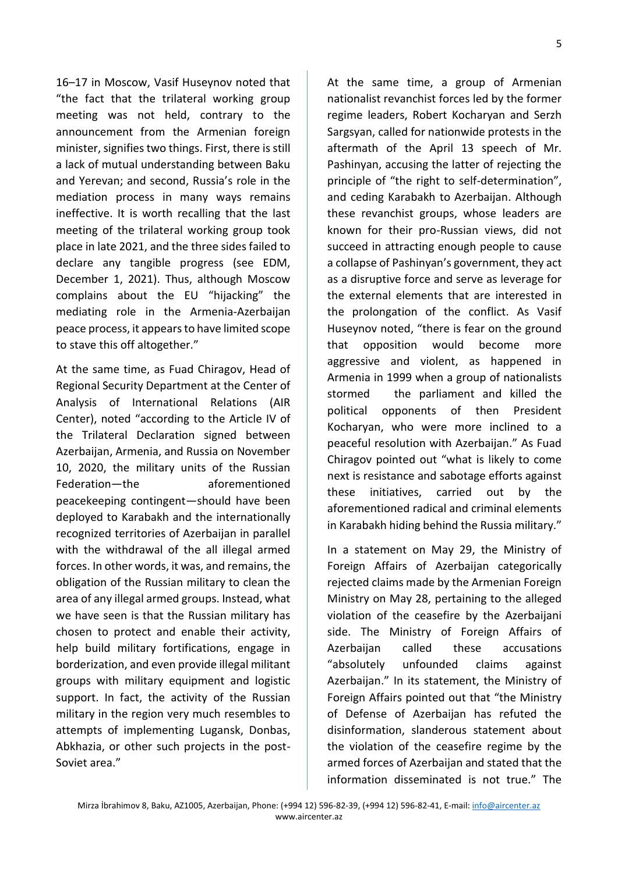5

16–17 in Moscow, Vasif Huseynov noted that "the fact that the trilateral working group meeting was not held, contrary to the announcement from the Armenian foreign minister, signifies two things. First, there is still a lack of mutual understanding between Baku and Yerevan; and second, Russia's role in the mediation process in many ways remains ineffective. It is worth recalling that the last meeting of the trilateral working group took place in late 2021, and the three sides failed to declare any tangible progress (see EDM, December 1, 2021). Thus, although Moscow complains about the EU "hijacking" the mediating role in the Armenia-Azerbaijan peace process, it appears to have limited scope to stave this off altogether."

At the same time, as Fuad Chiragov, Head of Regional Security Department at the Center of Analysis of International Relations (AIR Center), noted "according to the Article IV of the Trilateral Declaration signed between Azerbaijan, Armenia, and Russia on November 10, 2020, the military units of the Russian Federation—the aforementioned peacekeeping contingent—should have been deployed to Karabakh and the internationally recognized territories of Azerbaijan in parallel with the withdrawal of the all illegal armed forces. In other words, it was, and remains, the obligation of the Russian military to clean the area of any illegal armed groups. Instead, what we have seen is that the Russian military has chosen to protect and enable their activity, help build military fortifications, engage in borderization, and even provide illegal militant groups with military equipment and logistic support. In fact, the activity of the Russian military in the region very much resembles to attempts of implementing Lugansk, Donbas, Abkhazia, or other such projects in the post-Soviet area."

At the same time, a group of Armenian nationalist revanchist forces led by the former regime leaders, Robert Kocharyan and Serzh Sargsyan, called for nationwide protests in the aftermath of the April 13 speech of Mr. Pashinyan, accusing the latter of rejecting the principle of "the right to self-determination", and ceding Karabakh to Azerbaijan. Although these revanchist groups, whose leaders are known for their pro-Russian views, did not succeed in attracting enough people to cause a collapse of Pashinyan's government, they act as a disruptive force and serve as leverage for the external elements that are interested in the prolongation of the conflict. As Vasif Huseynov noted, "there is fear on the ground that opposition would become more aggressive and violent, as happened in Armenia in 1999 when a group of nationalists stormed the parliament and killed the political opponents of then President Kocharyan, who were more inclined to a peaceful resolution with Azerbaijan." As Fuad Chiragov pointed out "what is likely to come next is resistance and sabotage efforts against these initiatives, carried out by the aforementioned radical and criminal elements in Karabakh hiding behind the Russia military."

In a statement on May 29, the Ministry of Foreign Affairs of Azerbaijan categorically rejected claims made by the Armenian Foreign Ministry on May 28, pertaining to the alleged violation of the ceasefire by the Azerbaijani side. The Ministry of Foreign Affairs of Azerbaijan called these accusations "absolutely unfounded claims against Azerbaijan." In its statement, the Ministry of Foreign Affairs pointed out that "the Ministry of Defense of Azerbaijan has refuted the disinformation, slanderous statement about the violation of the ceasefire regime by the armed forces of Azerbaijan and stated that the information disseminated is not true." The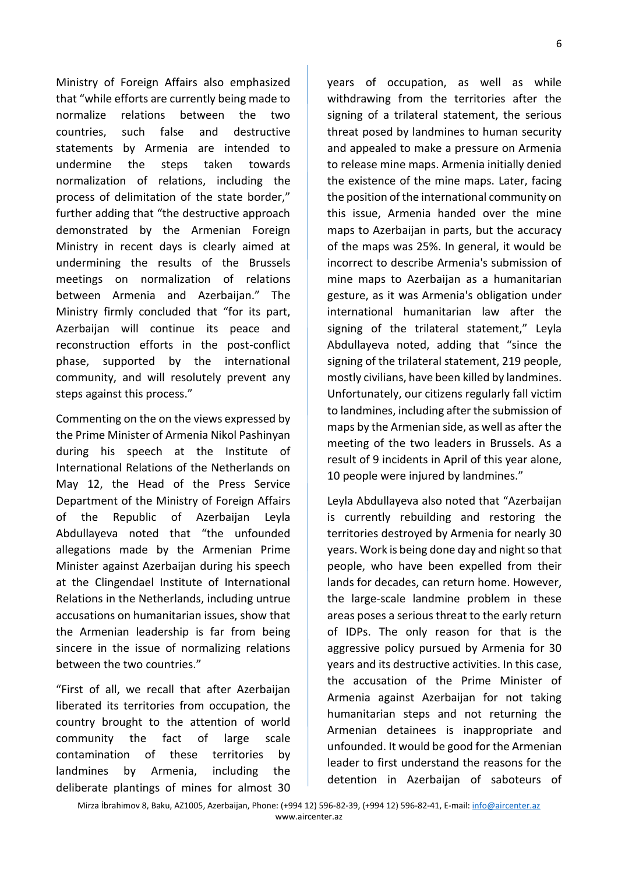Ministry of Foreign Affairs also emphasized that "while efforts are currently being made to normalize relations between the two countries, such false and destructive statements by Armenia are intended to undermine the steps taken towards normalization of relations, including the process of delimitation of the state border," further adding that "the destructive approach demonstrated by the Armenian Foreign Ministry in recent days is clearly aimed at undermining the results of the Brussels meetings on normalization of relations between Armenia and Azerbaijan." The Ministry firmly concluded that "for its part, Azerbaijan will continue its peace and reconstruction efforts in the post-conflict phase, supported by the international community, and will resolutely prevent any steps against this process."

Commenting on the on the views expressed by the Prime Minister of Armenia Nikol Pashinyan during his speech at the Institute of International Relations of the Netherlands on May 12, the Head of the Press Service Department of the Ministry of Foreign Affairs of the Republic of Azerbaijan Leyla Abdullayeva noted that "the unfounded allegations made by the Armenian Prime Minister against Azerbaijan during his speech at the Clingendael Institute of International Relations in the Netherlands, including untrue accusations on humanitarian issues, show that the Armenian leadership is far from being sincere in the issue of normalizing relations between the two countries."

"First of all, we recall that after Azerbaijan liberated its territories from occupation, the country brought to the attention of world community the fact of large scale contamination of these territories by landmines by Armenia, including the deliberate plantings of mines for almost 30 years of occupation, as well as while withdrawing from the territories after the signing of a trilateral statement, the serious threat posed by landmines to human security and appealed to make a pressure on Armenia to release mine maps. Armenia initially denied the existence of the mine maps. Later, facing the position of the international community on this issue, Armenia handed over the mine maps to Azerbaijan in parts, but the accuracy of the maps was 25%. In general, it would be incorrect to describe Armenia's submission of mine maps to Azerbaijan as a humanitarian gesture, as it was Armenia's obligation under international humanitarian law after the signing of the trilateral statement," Leyla Abdullayeva noted, adding that "since the signing of the trilateral statement, 219 people, mostly civilians, have been killed by landmines. Unfortunately, our citizens regularly fall victim to landmines, including after the submission of maps by the Armenian side, as well as after the meeting of the two leaders in Brussels. As a result of 9 incidents in April of this year alone, 10 people were injured by landmines."

Leyla Abdullayeva also noted that "Azerbaijan is currently rebuilding and restoring the territories destroyed by Armenia for nearly 30 years. Work is being done day and night so that people, who have been expelled from their lands for decades, can return home. However, the large-scale landmine problem in these areas poses a serious threat to the early return of IDPs. The only reason for that is the aggressive policy pursued by Armenia for 30 years and its destructive activities. In this case, the accusation of the Prime Minister of Armenia against Azerbaijan for not taking humanitarian steps and not returning the Armenian detainees is inappropriate and unfounded. It would be good for the Armenian leader to first understand the reasons for the detention in Azerbaijan of saboteurs of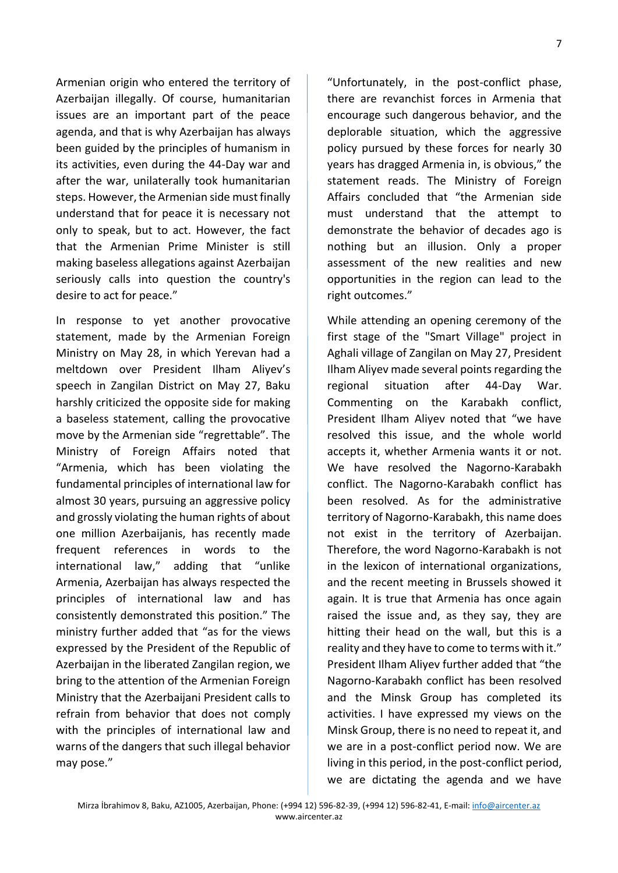Armenian origin who entered the territory of Azerbaijan illegally. Of course, humanitarian issues are an important part of the peace agenda, and that is why Azerbaijan has always been guided by the principles of humanism in its activities, even during the 44-Day war and after the war, unilaterally took humanitarian steps. However, the Armenian side must finally understand that for peace it is necessary not only to speak, but to act. However, the fact that the Armenian Prime Minister is still making baseless allegations against Azerbaijan seriously calls into question the country's desire to act for peace."

In response to yet another provocative statement, made by the Armenian Foreign Ministry on May 28, in which Yerevan had a meltdown over President Ilham Aliyev's speech in Zangilan District on May 27, Baku harshly criticized the opposite side for making a baseless statement, calling the provocative move by the Armenian side "regrettable". The Ministry of Foreign Affairs noted that "Armenia, which has been violating the fundamental principles of international law for almost 30 years, pursuing an aggressive policy and grossly violating the human rights of about one million Azerbaijanis, has recently made frequent references in words to the international law," adding that "unlike Armenia, Azerbaijan has always respected the principles of international law and has consistently demonstrated this position." The ministry further added that "as for the views expressed by the President of the Republic of Azerbaijan in the liberated Zangilan region, we bring to the attention of the Armenian Foreign Ministry that the Azerbaijani President calls to refrain from behavior that does not comply with the principles of international law and warns of the dangers that such illegal behavior may pose."

"Unfortunately, in the post-conflict phase, there are revanchist forces in Armenia that encourage such dangerous behavior, and the deplorable situation, which the aggressive policy pursued by these forces for nearly 30 years has dragged Armenia in, is obvious," the statement reads. The Ministry of Foreign Affairs concluded that "the Armenian side must understand that the attempt to demonstrate the behavior of decades ago is nothing but an illusion. Only a proper assessment of the new realities and new opportunities in the region can lead to the right outcomes."

While attending an opening ceremony of the first stage of the "Smart Village" project in Aghali village of Zangilan on May 27, President Ilham Aliyev made several points regarding the regional situation after 44-Day War. Commenting on the Karabakh conflict, President Ilham Aliyev noted that "we have resolved this issue, and the whole world accepts it, whether Armenia wants it or not. We have resolved the Nagorno-Karabakh conflict. The Nagorno-Karabakh conflict has been resolved. As for the administrative territory of Nagorno-Karabakh, this name does not exist in the territory of Azerbaijan. Therefore, the word Nagorno-Karabakh is not in the lexicon of international organizations, and the recent meeting in Brussels showed it again. It is true that Armenia has once again raised the issue and, as they say, they are hitting their head on the wall, but this is a reality and they have to come to terms with it." President Ilham Aliyev further added that "the Nagorno-Karabakh conflict has been resolved and the Minsk Group has completed its activities. I have expressed my views on the Minsk Group, there is no need to repeat it, and we are in a post-conflict period now. We are living in this period, in the post-conflict period, we are dictating the agenda and we have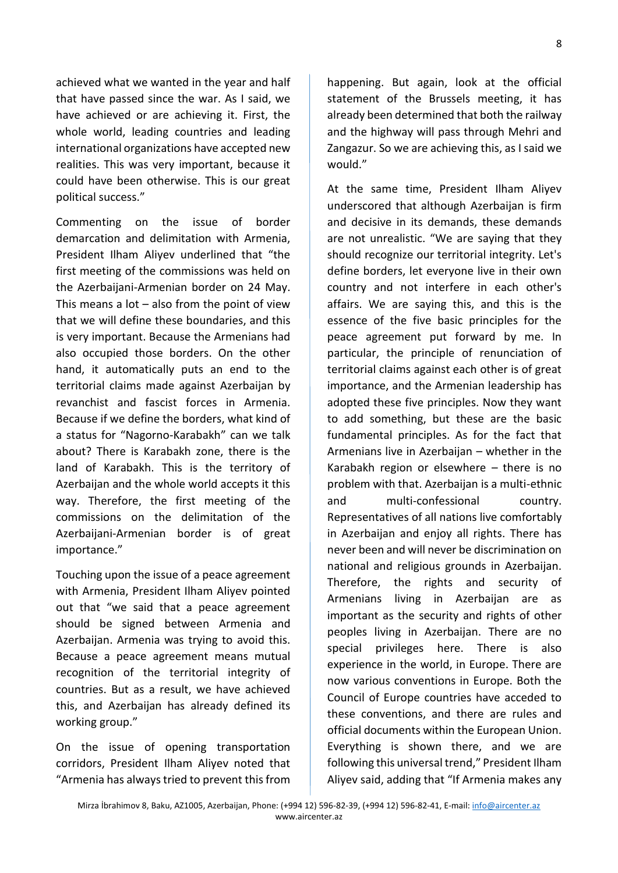achieved what we wanted in the year and half that have passed since the war. As I said, we have achieved or are achieving it. First, the whole world, leading countries and leading international organizations have accepted new realities. This was very important, because it could have been otherwise. This is our great political success."

Commenting on the issue of border demarcation and delimitation with Armenia, President Ilham Aliyev underlined that "the first meeting of the commissions was held on the Azerbaijani-Armenian border on 24 May. This means a lot  $-$  also from the point of view that we will define these boundaries, and this is very important. Because the Armenians had also occupied those borders. On the other hand, it automatically puts an end to the territorial claims made against Azerbaijan by revanchist and fascist forces in Armenia. Because if we define the borders, what kind of a status for "Nagorno-Karabakh" can we talk about? There is Karabakh zone, there is the land of Karabakh. This is the territory of Azerbaijan and the whole world accepts it this way. Therefore, the first meeting of the commissions on the delimitation of the Azerbaijani-Armenian border is of great importance."

Touching upon the issue of a peace agreement with Armenia, President Ilham Aliyev pointed out that "we said that a peace agreement should be signed between Armenia and Azerbaijan. Armenia was trying to avoid this. Because a peace agreement means mutual recognition of the territorial integrity of countries. But as a result, we have achieved this, and Azerbaijan has already defined its working group."

On the issue of opening transportation corridors, President Ilham Aliyev noted that "Armenia has always tried to prevent this from

happening. But again, look at the official statement of the Brussels meeting, it has already been determined that both the railway and the highway will pass through Mehri and Zangazur. So we are achieving this, as I said we would."

At the same time, President Ilham Aliyev underscored that although Azerbaijan is firm and decisive in its demands, these demands are not unrealistic. "We are saying that they should recognize our territorial integrity. Let's define borders, let everyone live in their own country and not interfere in each other's affairs. We are saying this, and this is the essence of the five basic principles for the peace agreement put forward by me. In particular, the principle of renunciation of territorial claims against each other is of great importance, and the Armenian leadership has adopted these five principles. Now they want to add something, but these are the basic fundamental principles. As for the fact that Armenians live in Azerbaijan – whether in the Karabakh region or elsewhere – there is no problem with that. Azerbaijan is a multi-ethnic and multi-confessional country. Representatives of all nations live comfortably in Azerbaijan and enjoy all rights. There has never been and will never be discrimination on national and religious grounds in Azerbaijan. Therefore, the rights and security of Armenians living in Azerbaijan are as important as the security and rights of other peoples living in Azerbaijan. There are no special privileges here. There is also experience in the world, in Europe. There are now various conventions in Europe. Both the Council of Europe countries have acceded to these conventions, and there are rules and official documents within the European Union. Everything is shown there, and we are following this universal trend," President Ilham Aliyev said, adding that "If Armenia makes any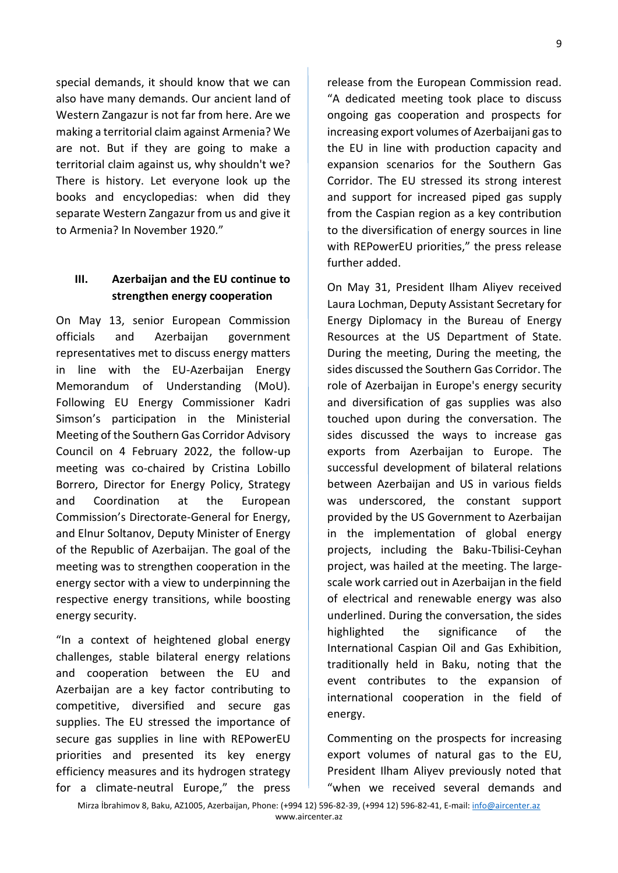special demands, it should know that we can also have many demands. Our ancient land of Western Zangazur is not far from here. Are we making a territorial claim against Armenia? We are not. But if they are going to make a territorial claim against us, why shouldn't we? There is history. Let everyone look up the books and encyclopedias: when did they separate Western Zangazur from us and give it to Armenia? In November 1920."

## **III. Azerbaijan and the EU continue to strengthen energy cooperation**

On May 13, senior European Commission officials and Azerbaijan government representatives met to discuss energy matters in line with the EU-Azerbaijan Energy Memorandum of Understanding (MoU). Following EU Energy Commissioner Kadri Simson's participation in the Ministerial Meeting of the Southern Gas Corridor Advisory Council on 4 February 2022, the follow-up meeting was co-chaired by Cristina Lobillo Borrero, Director for Energy Policy, Strategy and Coordination at the European Commission's Directorate-General for Energy, and Elnur Soltanov, Deputy Minister of Energy of the Republic of Azerbaijan. The goal of the meeting was to strengthen cooperation in the energy sector with a view to underpinning the respective energy transitions, while boosting energy security.

"In a context of heightened global energy challenges, stable bilateral energy relations and cooperation between the EU and Azerbaijan are a key factor contributing to competitive, diversified and secure gas supplies. The EU stressed the importance of secure gas supplies in line with REPowerEU priorities and presented its key energy efficiency measures and its hydrogen strategy for a climate-neutral Europe," the press

release from the European Commission read. "A dedicated meeting took place to discuss ongoing gas cooperation and prospects for increasing export volumes of Azerbaijani gas to the EU in line with production capacity and expansion scenarios for the Southern Gas Corridor. The EU stressed its strong interest and support for increased piped gas supply from the Caspian region as a key contribution to the diversification of energy sources in line with REPowerEU priorities," the press release further added.

On May 31, President Ilham Aliyev received Laura Lochman, Deputy Assistant Secretary for Energy Diplomacy in the Bureau of Energy Resources at the US Department of State. During the meeting, During the meeting, the sides discussed the Southern Gas Corridor. The role of Azerbaijan in Europe's energy security and diversification of gas supplies was also touched upon during the conversation. The sides discussed the ways to increase gas exports from Azerbaijan to Europe. The successful development of bilateral relations between Azerbaijan and US in various fields was underscored, the constant support provided by the US Government to Azerbaijan in the implementation of global energy projects, including the Baku-Tbilisi-Ceyhan project, was hailed at the meeting. The largescale work carried out in Azerbaijan in the field of electrical and renewable energy was also underlined. During the conversation, the sides highlighted the significance of the International Caspian Oil and Gas Exhibition, traditionally held in Baku, noting that the event contributes to the expansion of international cooperation in the field of energy.

Commenting on the prospects for increasing export volumes of natural gas to the EU, President Ilham Aliyev previously noted that "when we received several demands and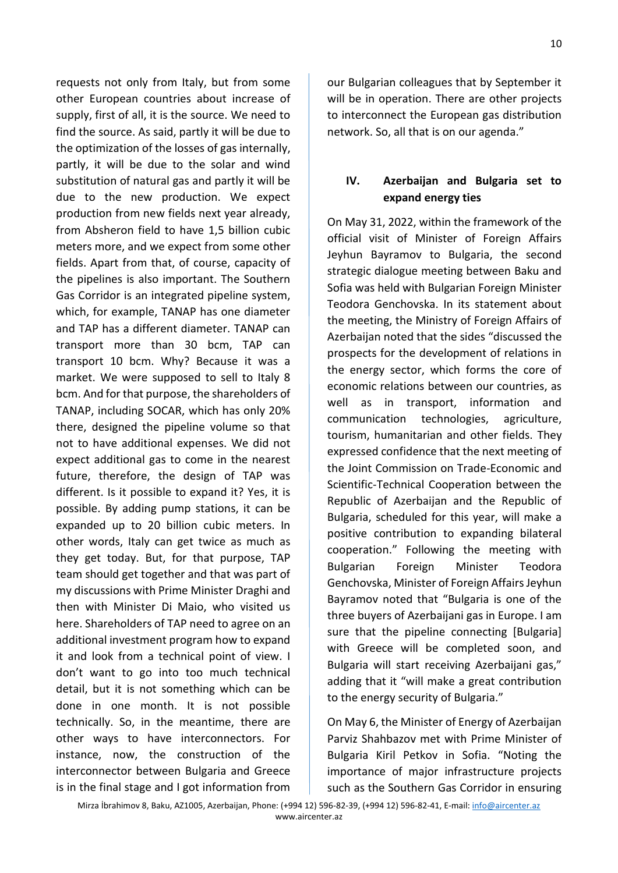requests not only from Italy, but from some other European countries about increase of supply, first of all, it is the source. We need to find the source. As said, partly it will be due to the optimization of the losses of gas internally, partly, it will be due to the solar and wind substitution of natural gas and partly it will be due to the new production. We expect production from new fields next year already, from Absheron field to have 1,5 billion cubic meters more, and we expect from some other fields. Apart from that, of course, capacity of the pipelines is also important. The Southern Gas Corridor is an integrated pipeline system, which, for example, TANAP has one diameter and TAP has a different diameter. TANAP can transport more than 30 bcm, TAP can transport 10 bcm. Why? Because it was a market. We were supposed to sell to Italy 8 bcm. And for that purpose, the shareholders of TANAP, including SOCAR, which has only 20% there, designed the pipeline volume so that not to have additional expenses. We did not expect additional gas to come in the nearest future, therefore, the design of TAP was different. Is it possible to expand it? Yes, it is possible. By adding pump stations, it can be expanded up to 20 billion cubic meters. In other words, Italy can get twice as much as they get today. But, for that purpose, TAP team should get together and that was part of my discussions with Prime Minister Draghi and then with Minister Di Maio, who visited us here. Shareholders of TAP need to agree on an additional investment program how to expand it and look from a technical point of view. I don't want to go into too much technical detail, but it is not something which can be done in one month. It is not possible technically. So, in the meantime, there are other ways to have interconnectors. For instance, now, the construction of the interconnector between Bulgaria and Greece is in the final stage and I got information from

our Bulgarian colleagues that by September it will be in operation. There are other projects to interconnect the European gas distribution network. So, all that is on our agenda."

## **IV. Azerbaijan and Bulgaria set to expand energy ties**

On May 31, 2022, within the framework of the official visit of Minister of Foreign Affairs Jeyhun Bayramov to Bulgaria, the second strategic dialogue meeting between Baku and Sofia was held with Bulgarian Foreign Minister Teodora Genchovska. In its statement about the meeting, the Ministry of Foreign Affairs of Azerbaijan noted that the sides "discussed the prospects for the development of relations in the energy sector, which forms the core of economic relations between our countries, as well as in transport, information and communication technologies, agriculture, tourism, humanitarian and other fields. They expressed confidence that the next meeting of the Joint Commission on Trade-Economic and Scientific-Technical Cooperation between the Republic of Azerbaijan and the Republic of Bulgaria, scheduled for this year, will make a positive contribution to expanding bilateral cooperation." Following the meeting with Bulgarian Foreign Minister Teodora Genchovska, Minister of Foreign Affairs Jeyhun Bayramov noted that "Bulgaria is one of the three buyers of Azerbaijani gas in Europe. I am sure that the pipeline connecting [Bulgaria] with Greece will be completed soon, and Bulgaria will start receiving Azerbaijani gas," adding that it "will make a great contribution to the energy security of Bulgaria."

On May 6, the Minister of Energy of Azerbaijan Parviz Shahbazov met with Prime Minister of Bulgaria Kiril Petkov in Sofia. "Noting the importance of major infrastructure projects such as the Southern Gas Corridor in ensuring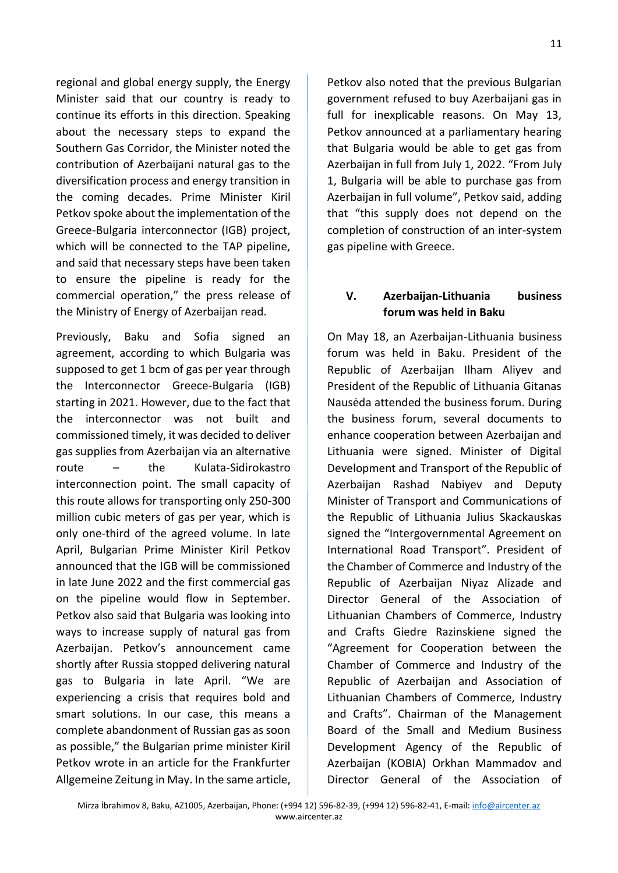regional and global energy supply, the Energy Minister said that our country is ready to continue its efforts in this direction. Speaking about the necessary steps to expand the Southern Gas Corridor, the Minister noted the contribution of Azerbaijani natural gas to the diversification process and energy transition in the coming decades. Prime Minister Kiril Petkov spoke about the implementation of the Greece-Bulgaria interconnector (IGB) project, which will be connected to the TAP pipeline, and said that necessary steps have been taken to ensure the pipeline is ready for the commercial operation," the press release of the Ministry of Energy of Azerbaijan read.

Previously, Baku and Sofia signed an agreement, according to which Bulgaria was supposed to get 1 bcm of gas per year through the Interconnector Greece-Bulgaria (IGB) starting in 2021. However, due to the fact that the interconnector was not built and commissioned timely, it was decided to deliver gas supplies from Azerbaijan via an alternative route – the Kulata-Sidirokastro interconnection point. The small capacity of this route allows for transporting only 250-300 million cubic meters of gas per year, which is only one-third of the agreed volume. In late April, Bulgarian Prime Minister Kiril Petkov announced that the IGB will be commissioned in late June 2022 and the first commercial gas on the pipeline would flow in September. Petkov also said that Bulgaria was looking into ways to increase supply of natural gas from Azerbaijan. Petkov's announcement came shortly after Russia stopped delivering natural gas to Bulgaria in late April. "We are experiencing a crisis that requires bold and smart solutions. In our case, this means a complete abandonment of Russian gas as soon as possible," the Bulgarian prime minister Kiril Petkov wrote in an article for the Frankfurter Allgemeine Zeitung in May. In the same article, Petkov also noted that the previous Bulgarian government refused to buy Azerbaijani gas in full for inexplicable reasons. On May 13, Petkov announced at a parliamentary hearing that Bulgaria would be able to get gas from Azerbaijan in full from July 1, 2022. "From July 1, Bulgaria will be able to purchase gas from Azerbaijan in full volume", Petkov said, adding that "this supply does not depend on the completion of construction of an inter-system gas pipeline with Greece.

### **V. Azerbaijan-Lithuania business forum was held in Baku**

On May 18, an Azerbaijan-Lithuania business forum was held in Baku. President of the Republic of Azerbaijan Ilham Aliyev and President of the Republic of Lithuania Gitanas Nausėda attended the business forum. During the business forum, several documents to enhance cooperation between Azerbaijan and Lithuania were signed. Minister of Digital Development and Transport of the Republic of Azerbaijan Rashad Nabiyev and Deputy Minister of Transport and Communications of the Republic of Lithuania Julius Skackauskas signed the "Intergovernmental Agreement on International Road Transport". President of the Chamber of Commerce and Industry of the Republic of Azerbaijan Niyaz Alizade and Director General of the Association of Lithuanian Chambers of Commerce, Industry and Crafts Giedre Razinskiene signed the "Agreement for Cooperation between the Chamber of Commerce and Industry of the Republic of Azerbaijan and Association of Lithuanian Chambers of Commerce, Industry and Crafts". Chairman of the Management Board of the Small and Medium Business Development Agency of the Republic of Azerbaijan (KOBIA) Orkhan Mammadov and Director General of the Association of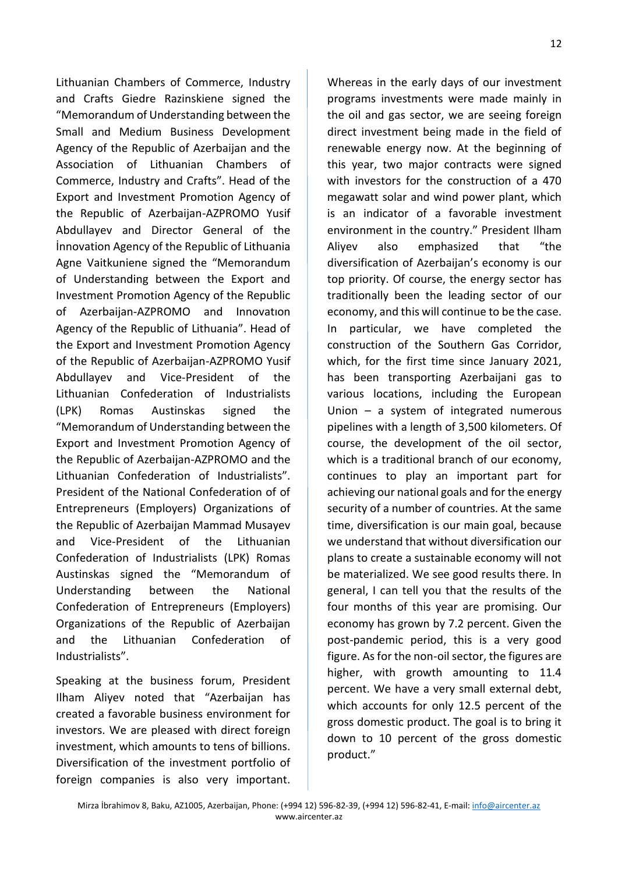12

Lithuanian Chambers of Commerce, Industry and Crafts Giedre Razinskiene signed the "Memorandum of Understanding between the Small and Medium Business Development Agency of the Republic of Azerbaijan and the Association of Lithuanian Chambers of Commerce, Industry and Crafts". Head of the Export and Investment Promotion Agency of the Republic of Azerbaijan-AZPROMO Yusif Abdullayev and Director General of the İnnovation Agency of the Republic of Lithuania Agne Vaitkuniene signed the "Memorandum of Understanding between the Export and Investment Promotion Agency of the Republic of Azerbaijan-AZPROMO and Innovatıon Agency of the Republic of Lithuania". Head of the Export and Investment Promotion Agency of the Republic of Azerbaijan-AZPROMO Yusif Abdullayev and Vice-President of the Lithuanian Confederation of Industrialists (LPK) Romas Austinskas signed the "Memorandum of Understanding between the Export and Investment Promotion Agency of the Republic of Azerbaijan-AZPROMO and the Lithuanian Confederation of Industrialists". President of the National Confederation of of Entrepreneurs (Employers) Organizations of the Republic of Azerbaijan Mammad Musayev and Vice-President of the Lithuanian Confederation of Industrialists (LPK) Romas Austinskas signed the "Memorandum of Understanding between the National Confederation of Entrepreneurs (Employers) Organizations of the Republic of Azerbaijan and the Lithuanian Confederation of Industrialists".

Speaking at the business forum, President Ilham Aliyev noted that "Azerbaijan has created a favorable business environment for investors. We are pleased with direct foreign investment, which amounts to tens of billions. Diversification of the investment portfolio of foreign companies is also very important. Whereas in the early days of our investment programs investments were made mainly in the oil and gas sector, we are seeing foreign direct investment being made in the field of renewable energy now. At the beginning of this year, two major contracts were signed with investors for the construction of a 470 megawatt solar and wind power plant, which is an indicator of a favorable investment environment in the country." President Ilham Aliyev also emphasized that "the diversification of Azerbaijan's economy is our top priority. Of course, the energy sector has traditionally been the leading sector of our economy, and this will continue to be the case. In particular, we have completed the construction of the Southern Gas Corridor, which, for the first time since January 2021, has been transporting Azerbaijani gas to various locations, including the European Union – a system of integrated numerous pipelines with a length of 3,500 kilometers. Of course, the development of the oil sector, which is a traditional branch of our economy, continues to play an important part for achieving our national goals and for the energy security of a number of countries. At the same time, diversification is our main goal, because we understand that without diversification our plans to create a sustainable economy will not be materialized. We see good results there. In general, I can tell you that the results of the four months of this year are promising. Our economy has grown by 7.2 percent. Given the post-pandemic period, this is a very good figure. As for the non-oil sector, the figures are higher, with growth amounting to 11.4 percent. We have a very small external debt, which accounts for only 12.5 percent of the gross domestic product. The goal is to bring it down to 10 percent of the gross domestic product."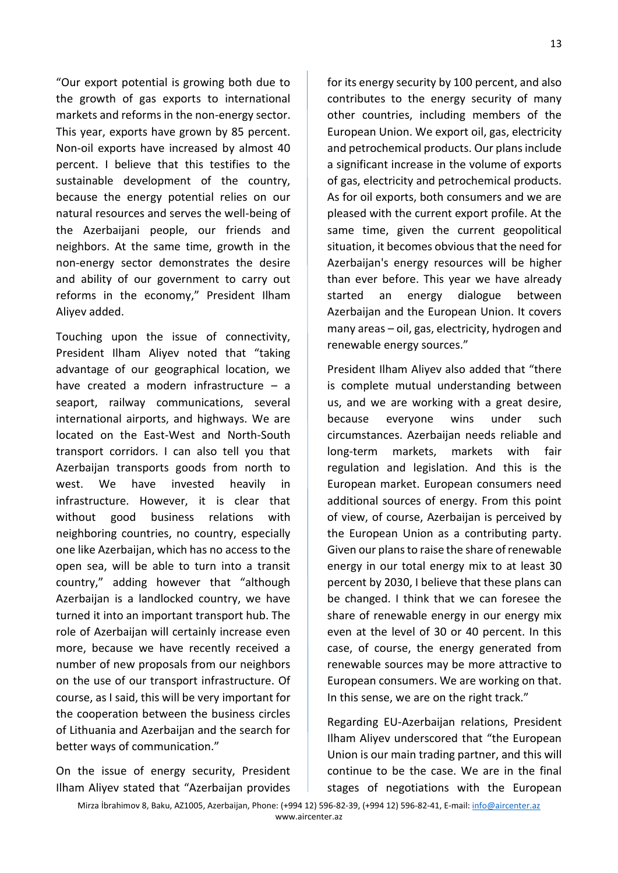"Our export potential is growing both due to the growth of gas exports to international markets and reforms in the non-energy sector. This year, exports have grown by 85 percent. Non-oil exports have increased by almost 40 percent. I believe that this testifies to the sustainable development of the country, because the energy potential relies on our natural resources and serves the well-being of the Azerbaijani people, our friends and neighbors. At the same time, growth in the non-energy sector demonstrates the desire and ability of our government to carry out reforms in the economy," President Ilham Aliyev added.

Touching upon the issue of connectivity, President Ilham Aliyev noted that "taking advantage of our geographical location, we have created a modern infrastructure – a seaport, railway communications, several international airports, and highways. We are located on the East-West and North-South transport corridors. I can also tell you that Azerbaijan transports goods from north to west. We have invested heavily in infrastructure. However, it is clear that without good business relations with neighboring countries, no country, especially one like Azerbaijan, which has no access to the open sea, will be able to turn into a transit country," adding however that "although Azerbaijan is a landlocked country, we have turned it into an important transport hub. The role of Azerbaijan will certainly increase even more, because we have recently received a number of new proposals from our neighbors on the use of our transport infrastructure. Of course, as I said, this will be very important for the cooperation between the business circles of Lithuania and Azerbaijan and the search for better ways of communication."

On the issue of energy security, President Ilham Aliyev stated that "Azerbaijan provides

for its energy security by 100 percent, and also contributes to the energy security of many other countries, including members of the European Union. We export oil, gas, electricity and petrochemical products. Our plans include a significant increase in the volume of exports of gas, electricity and petrochemical products. As for oil exports, both consumers and we are pleased with the current export profile. At the same time, given the current geopolitical situation, it becomes obvious that the need for Azerbaijan's energy resources will be higher than ever before. This year we have already started an energy dialogue between Azerbaijan and the European Union. It covers many areas – oil, gas, electricity, hydrogen and renewable energy sources."

President Ilham Aliyev also added that "there is complete mutual understanding between us, and we are working with a great desire, because everyone wins under such circumstances. Azerbaijan needs reliable and long-term markets, markets with fair regulation and legislation. And this is the European market. European consumers need additional sources of energy. From this point of view, of course, Azerbaijan is perceived by the European Union as a contributing party. Given our plans to raise the share of renewable energy in our total energy mix to at least 30 percent by 2030, I believe that these plans can be changed. I think that we can foresee the share of renewable energy in our energy mix even at the level of 30 or 40 percent. In this case, of course, the energy generated from renewable sources may be more attractive to European consumers. We are working on that. In this sense, we are on the right track."

Regarding EU-Azerbaijan relations, President Ilham Aliyev underscored that "the European Union is our main trading partner, and this will continue to be the case. We are in the final stages of negotiations with the European